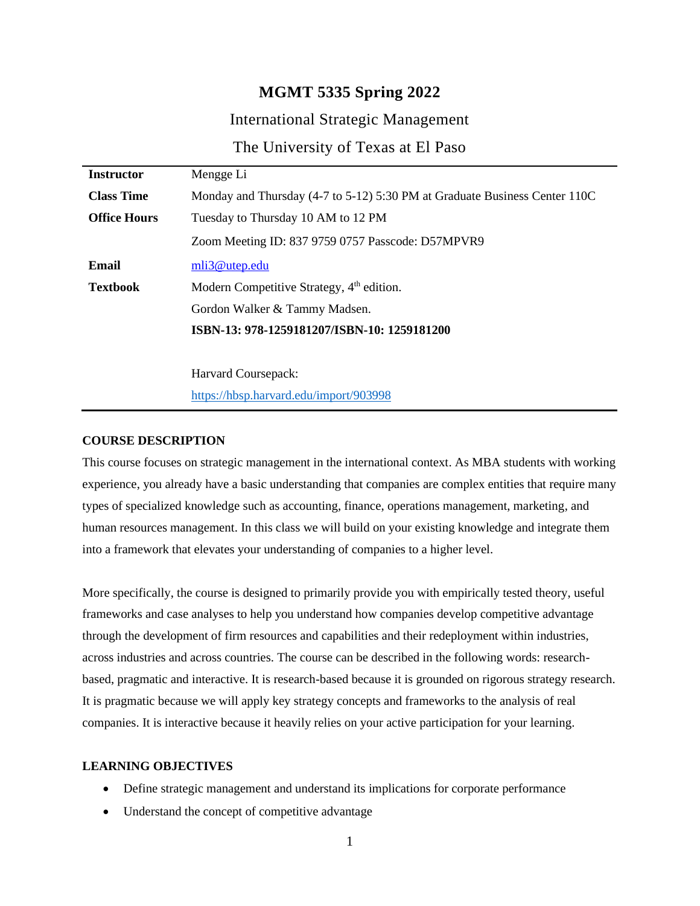# **MGMT 5335 Spring 2022**

# International Strategic Management

The University of Texas at El Paso

| <b>Instructor</b>   | Mengge Li                                                                  |
|---------------------|----------------------------------------------------------------------------|
| <b>Class Time</b>   | Monday and Thursday (4-7 to 5-12) 5:30 PM at Graduate Business Center 110C |
| <b>Office Hours</b> | Tuesday to Thursday 10 AM to 12 PM                                         |
|                     | Zoom Meeting ID: 837 9759 0757 Passcode: D57MPVR9                          |
| Email               | mli3@utep.edu                                                              |
| <b>Textbook</b>     | Modern Competitive Strategy, 4 <sup>th</sup> edition.                      |
|                     | Gordon Walker & Tammy Madsen.                                              |
|                     | ISBN-13: 978-1259181207/ISBN-10: 1259181200                                |
|                     |                                                                            |
|                     | Harvard Coursepack:                                                        |
|                     | https://hbsp.harvard.edu/import/903998                                     |

**COURSE DESCRIPTION**

This course focuses on strategic management in the international context. As MBA students with working experience, you already have a basic understanding that companies are complex entities that require many types of specialized knowledge such as accounting, finance, operations management, marketing, and human resources management. In this class we will build on your existing knowledge and integrate them into a framework that elevates your understanding of companies to a higher level.

More specifically, the course is designed to primarily provide you with empirically tested theory, useful frameworks and case analyses to help you understand how companies develop competitive advantage through the development of firm resources and capabilities and their redeployment within industries, across industries and across countries. The course can be described in the following words: researchbased, pragmatic and interactive. It is research-based because it is grounded on rigorous strategy research. It is pragmatic because we will apply key strategy concepts and frameworks to the analysis of real companies. It is interactive because it heavily relies on your active participation for your learning.

#### **LEARNING OBJECTIVES**

- Define strategic management and understand its implications for corporate performance
- Understand the concept of competitive advantage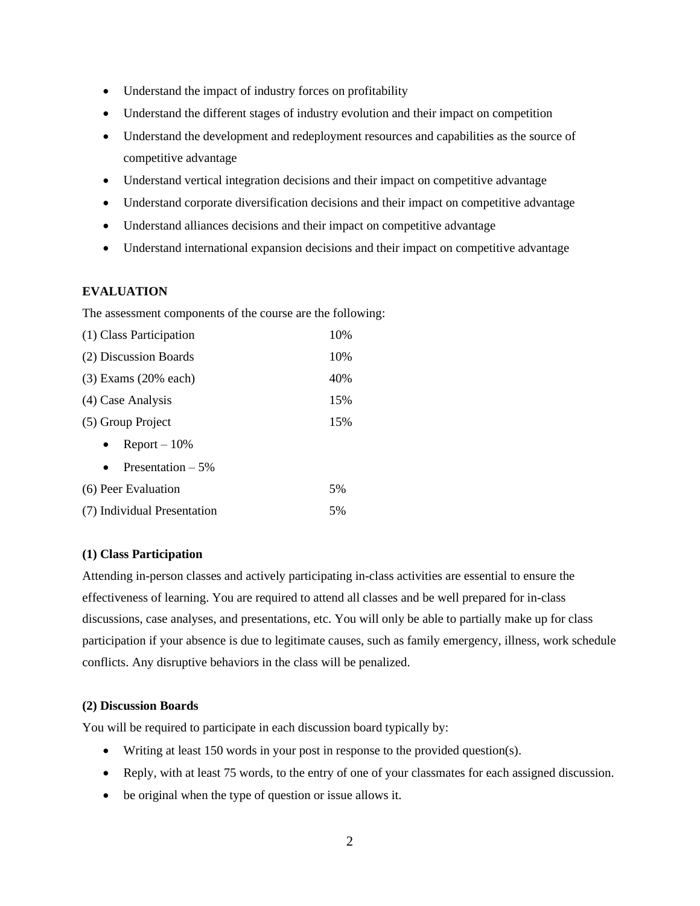- Understand the impact of industry forces on profitability
- Understand the different stages of industry evolution and their impact on competition
- Understand the development and redeployment resources and capabilities as the source of competitive advantage
- Understand vertical integration decisions and their impact on competitive advantage
- Understand corporate diversification decisions and their impact on competitive advantage
- Understand alliances decisions and their impact on competitive advantage
- Understand international expansion decisions and their impact on competitive advantage

## **EVALUATION**

The assessment components of the course are the following:

| (1) Class Participation     | 10% |  |
|-----------------------------|-----|--|
| (2) Discussion Boards       |     |  |
| $(3)$ Exams $(20\%$ each)   |     |  |
| (4) Case Analysis           |     |  |
| (5) Group Project           |     |  |
| $Report - 10%$              |     |  |
| Presentation $-5\%$         |     |  |
| (6) Peer Evaluation         |     |  |
| (7) Individual Presentation |     |  |

### **(1) Class Participation**

Attending in-person classes and actively participating in-class activities are essential to ensure the effectiveness of learning. You are required to attend all classes and be well prepared for in-class discussions, case analyses, and presentations, etc. You will only be able to partially make up for class participation if your absence is due to legitimate causes, such as family emergency, illness, work schedule conflicts. Any disruptive behaviors in the class will be penalized.

#### **(2) Discussion Boards**

You will be required to participate in each discussion board typically by:

- Writing at least 150 words in your post in response to the provided question(s).
- Reply, with at least 75 words, to the entry of one of your classmates for each assigned discussion.
- be original when the type of question or issue allows it.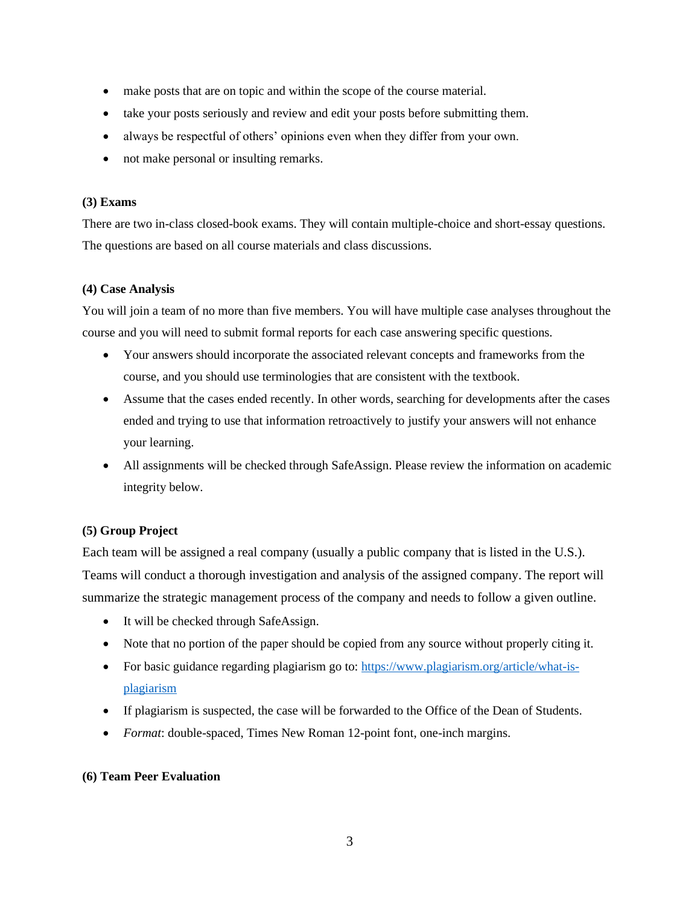- make posts that are on topic and within the scope of the course material.
- take your posts seriously and review and edit your posts before submitting them.
- always be respectful of others' opinions even when they differ from your own.
- not make personal or insulting remarks.

### **(3) Exams**

There are two in-class closed-book exams. They will contain multiple-choice and short-essay questions. The questions are based on all course materials and class discussions.

## **(4) Case Analysis**

You will join a team of no more than five members. You will have multiple case analyses throughout the course and you will need to submit formal reports for each case answering specific questions.

- Your answers should incorporate the associated relevant concepts and frameworks from the course, and you should use terminologies that are consistent with the textbook.
- Assume that the cases ended recently. In other words, searching for developments after the cases ended and trying to use that information retroactively to justify your answers will not enhance your learning.
- All assignments will be checked through SafeAssign. Please review the information on academic integrity below.

# **(5) Group Project**

Each team will be assigned a real company (usually a public company that is listed in the U.S.). Teams will conduct a thorough investigation and analysis of the assigned company. The report will summarize the strategic management process of the company and needs to follow a given outline.

- It will be checked through SafeAssign.
- Note that no portion of the paper should be copied from any source without properly citing it.
- For basic guidance regarding plagiarism go to: [https://www.plagiarism.org/article/what-is](https://www.plagiarism.org/article/what-is-plagiarism)[plagiarism](https://www.plagiarism.org/article/what-is-plagiarism)
- If plagiarism is suspected, the case will be forwarded to the Office of the Dean of Students.
- *Format*: double-spaced, Times New Roman 12-point font, one-inch margins.

### **(6) Team Peer Evaluation**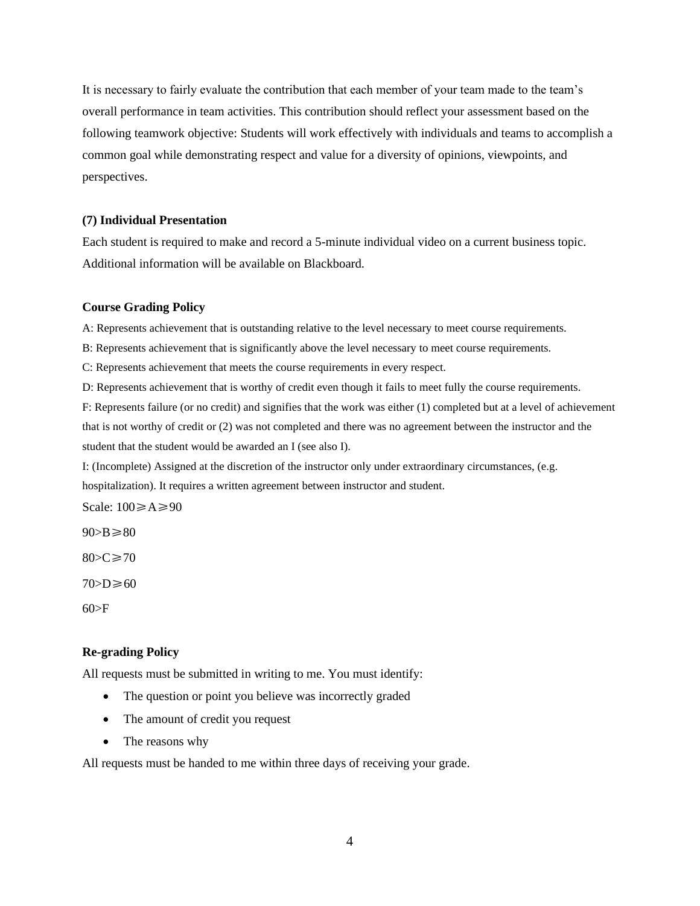It is necessary to fairly evaluate the contribution that each member of your team made to the team's overall performance in team activities. This contribution should reflect your assessment based on the following teamwork objective: Students will work effectively with individuals and teams to accomplish a common goal while demonstrating respect and value for a diversity of opinions, viewpoints, and perspectives.

#### **(7) Individual Presentation**

Each student is required to make and record a 5-minute individual video on a current business topic. Additional information will be available on Blackboard.

#### **Course Grading Policy**

A: Represents achievement that is outstanding relative to the level necessary to meet course requirements.

B: Represents achievement that is significantly above the level necessary to meet course requirements.

C: Represents achievement that meets the course requirements in every respect.

D: Represents achievement that is worthy of credit even though it fails to meet fully the course requirements.

F: Represents failure (or no credit) and signifies that the work was either (1) completed but at a level of achievement that is not worthy of credit or (2) was not completed and there was no agreement between the instructor and the student that the student would be awarded an I (see also I).

I: (Incomplete) Assigned at the discretion of the instructor only under extraordinary circumstances, (e.g.

hospitalization). It requires a written agreement between instructor and student.

Scale: 100≥A≥90

 $90 > B \ge 80$ 

 $80 > C \ge 70$ 

 $70>D\geq 60$ 

 $60>F$ 

#### **Re-grading Policy**

All requests must be submitted in writing to me. You must identify:

- The question or point you believe was incorrectly graded
- The amount of credit you request
- The reasons why

All requests must be handed to me within three days of receiving your grade.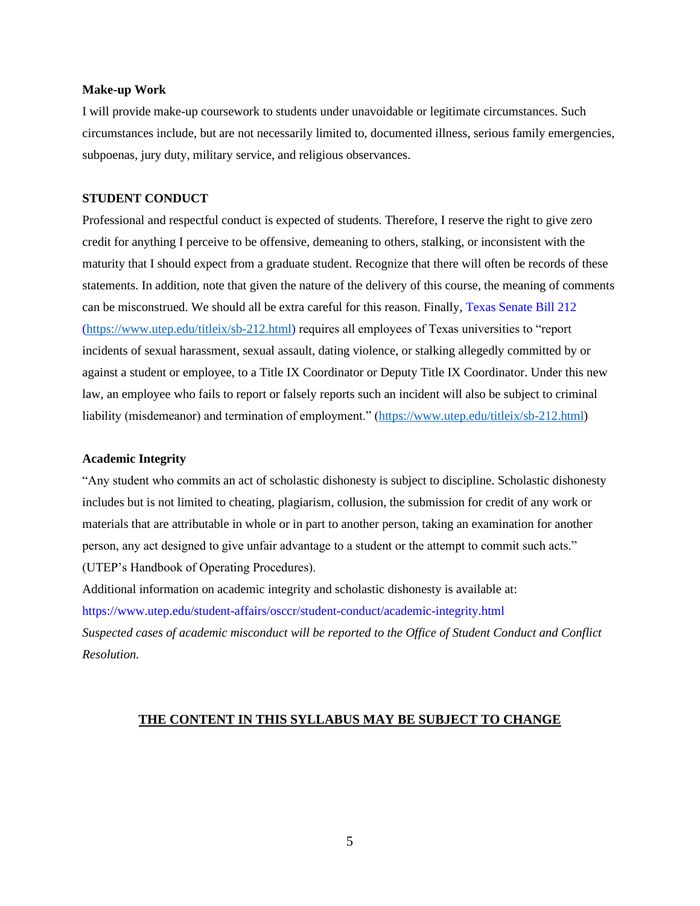#### **Make-up Work**

I will provide make-up coursework to students under unavoidable or legitimate circumstances. Such circumstances include, but are not necessarily limited to, documented illness, serious family emergencies, subpoenas, jury duty, military service, and religious observances.

### **STUDENT CONDUCT**

Professional and respectful conduct is expected of students. Therefore, I reserve the right to give zero credit for anything I perceive to be offensive, demeaning to others, stalking, or inconsistent with the maturity that I should expect from a graduate student. Recognize that there will often be records of these statements. In addition, note that given the nature of the delivery of this course, the meaning of comments can be misconstrued. We should all be extra careful for this reason. Finally, Texas Senate Bill 212 [\(https://www.utep.edu/titleix/sb-212.html\)](https://www.utep.edu/titleix/sb-212.html) requires all employees of Texas universities to "report incidents of sexual harassment, sexual assault, dating violence, or stalking allegedly committed by or against a student or employee, to a Title IX Coordinator or Deputy Title IX Coordinator. Under this new law, an employee who fails to report or falsely reports such an incident will also be subject to criminal liability (misdemeanor) and termination of employment." [\(https://www.utep.edu/titleix/sb-212.html\)](https://www.utep.edu/titleix/sb-212.html)

### **Academic Integrity**

"Any student who commits an act of scholastic dishonesty is subject to discipline. Scholastic dishonesty includes but is not limited to cheating, plagiarism, collusion, the submission for credit of any work or materials that are attributable in whole or in part to another person, taking an examination for another person, any act designed to give unfair advantage to a student or the attempt to commit such acts." (UTEP's Handbook of Operating Procedures).

Additional information on academic integrity and scholastic dishonesty is available at: https://www.utep.edu/student-affairs/osccr/student-conduct/academic-integrity.html *Suspected cases of academic misconduct will be reported to the Office of Student Conduct and Conflict Resolution.*

### **THE CONTENT IN THIS SYLLABUS MAY BE SUBJECT TO CHANGE**